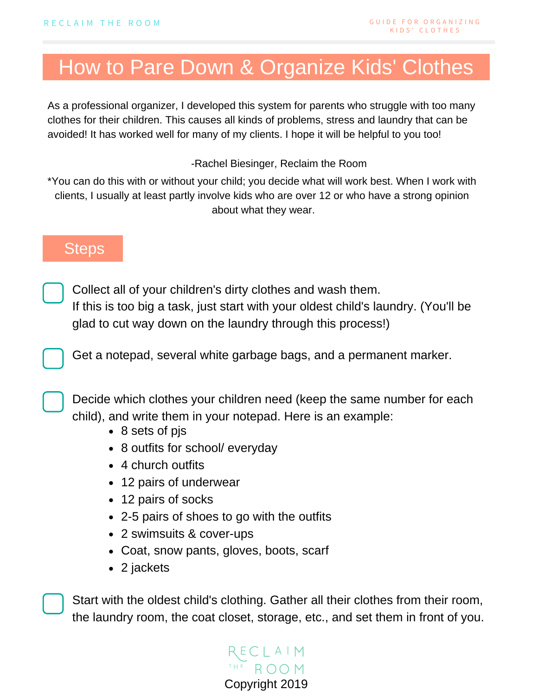## How to Pare Down & Organize Kids' Clothes

As a professional organizer, I developed this system for parents who struggle with too many clothes for their children. This causes all kinds of problems, stress and laundry that can be avoided! It has worked well for many of my clients. I hope it will be helpful to you too!

-Rachel Biesinger, Reclaim the Room

\*You can do this with or without your child; you decide what will work best. When I work with clients, I usually at least partly involve kids who are over 12 or who have a strong opinion about what they wear.

## **Steps**

Collect all of your children's dirty clothes and wash them. If this is too big a task, just start with your oldest child's laundry. (You'll be glad to cut way down on the laundry through this process!)

Get a notepad, several white garbage bags, and a permanent marker.

Decide which clothes your children need (keep the same number for each child), and write them in your notepad. Here is an example:

- 8 sets of pjs
- 8 outfits for school/ everyday
- 4 church outfits
- 12 pairs of underwear
- 12 pairs of socks
- 2-5 pairs of shoes to go with the outfits
- **TASKS TO BEGIN NEXT WEEK** 2 swimsuits & cover-ups
	- Coat, snow pants, gloves, boots, scarf
	- 2 jackets

Start with the oldest child's clothing. Gather all their clothes from their room, the laundry room, the coat closet, storage, etc., and set them in front of you.